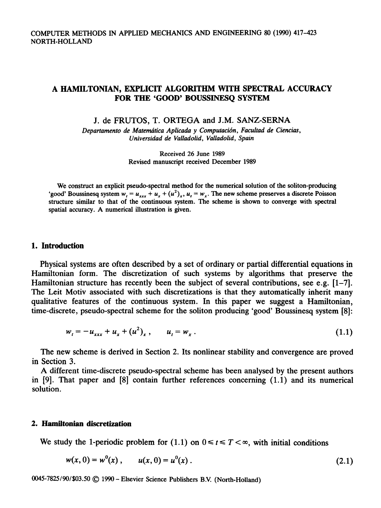# COMPUTER METHODS IN APPLIED MECHANICS AND ENGINEERING 80 (1990) 417-423 NORTH-HOLLAND

# A HAMILTONIAN, EXPLICIT ALGORITHM WITH SPECTRAL ACCURACY FOR THE 'GOOD' BOUSSINESQ SYSTEM

#### J. de FRUTOS, T. ORTEGA and J.M. SANZ-SERNA

Departamento de Matemática Aplicada y Computación, Facultad de Ciencias,  $Universidad~de~Valladolid,~Valladolid,~Spain$ 

> Received 26 June 1989 Revised manuscript received December 1989

We construct an explicit pseudo-spectral method for the numerical solution of the soliton-producing 'good' Boussinesq system  $w_i = u_{xx} + u_x + (u^2)_x$ ,  $u_i = w_x$ . The new scheme preserves a discrete Poisson structure similar to that of the continuous system. The scheme is shown to converge with spectral spatial accuracy. A numerical illustration is given.

# **1. Introduction**

Physical systems are often described by a set of ordinary or partial differential equations in Hamiltonian form. The discretization of such systems by algorithms that preserve the Hamiltonian structure has recently been the subject of several contributions, see e.g.  $[1-7]$ . The Leit Motiv associated with such discretizations is that they automatically inherit many qualitative features of the continuous system. In this paper we suggest a Hamiltonian, time-discrete, pseudo-spectral scheme for the soliton producing 'good' Boussinesq system {8]:

$$
w_t = -u_{xxx} + u_x + (u^2)_x, \qquad u_t = w_x. \tag{1.1}
$$

The new scheme is derived in Section 2. Its nonlinear stability and convergence are proved in Section 3.

A different time-discrete pseudo-spectral scheme has been analysed by the present authors in f9]. That paper and [8] contain further references concerning (1.1) and its numerical solution.

### 2. Hamiltonian discretization

We study the 1-periodic problem for (1.1) on  $0 \le t \le T \le \infty$ , with initial conditions

$$
w(x, 0) = w0(x), \qquad u(x, 0) = u0(x).
$$
 (2.1)

0045-7825/90/\$03.50 © 1990 - Elsevier Science Publishers B.V. (North-Holland)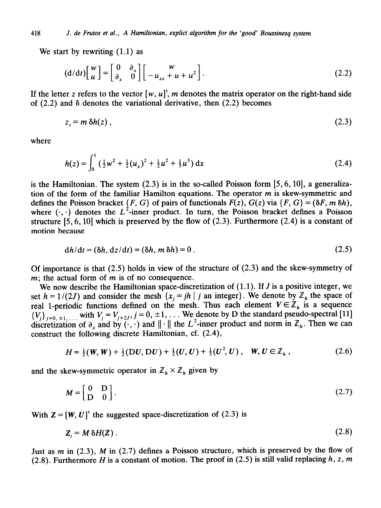We start by rewriting (1.1) as

$$
(\mathrm{d}/\mathrm{d}t)\begin{bmatrix} w \\ u \end{bmatrix} = \begin{bmatrix} 0 & \partial_x \\ \partial_x & 0 \end{bmatrix} \begin{bmatrix} w \\ -u_{xx} + u + u^2 \end{bmatrix}.
$$
 (2.2)

If the letter z refers to the vector  $[w, u]^t$ , m denotes the matrix operator on the right-hand side of  $(2.2)$  and  $\delta$  denotes the variational derivative, then  $(2.2)$  becomes

$$
z_t = m \,\delta h(z) \,, \tag{2.3}
$$

where

$$
h(z) = \int_0^1 \left(\frac{1}{2}w^2 + \frac{1}{2}(u_x)^2 + \frac{1}{2}u^2 + \frac{1}{3}u^3\right) dx
$$
 (2.4)

is the Hamiltonian. The system  $(2.3)$  is in the so-called Poisson form  $[5, 6, 10]$ , a generalization of the form of the familiar Hamilton equations. The operator  $m$  is skew-symmetric and defines the Poisson bracket  $\{F, G\}$  of pairs of functionals  $F(z)$ ,  $G(z)$  via  $\{F, G\} = (\delta F, m \, \delta h)$ , where  $(\cdot, \cdot)$  denotes the  $L^2$ -inner product. In turn, the Poisson bracket defines a Poisson structure  $[5, 6, 10]$  which is preserved by the flow of  $(2.3)$ . Furthermore  $(2.4)$  is a constant of motion because

$$
dh/dt = (\delta h, dz/dt) = (\delta h, m \, \delta h) = 0. \tag{2.5}
$$

Of importance is that  $(2.5)$  holds in view of the structure of  $(2.3)$  and the skew-symmetry of *m;* the actual form of *m* is of no consequence.

We now describe the Hamiltonian space-discretization of  $(1.1)$ . If J is a positive integer, we set  $h = 1/(2J)$  and consider the mesh  ${x_i = jh | j}$  an integer}. We denote by  $\mathbb{Z}_h$  the space of real 1-periodic functions defined on the mesh. Thus each element  $V \in \mathbb{Z}_h$  is a sequence  ${V_i}_{i=0, \pm 1,...}$  with  $V_i = V_{i+2J}, j = 0, \pm 1,...$  We denote by D the standard pseudo-spectral [11] discretization of  $\partial_x$  and by  $(\cdot, \cdot)$  and  $||\cdot||$  the L<sup>-</sup>-inner product and norm in  $\mathbb{Z}_h$ . Then we can construct the following discrete Hamiltonian, cf. (2.4),

$$
H = \frac{1}{2}(W, W) + \frac{1}{2}(DU, DU) + \frac{1}{2}(U, U) + \frac{1}{3}(U^2, U), \quad W, U \in \mathbb{Z}_h,
$$
 (2.6)

and the skew-symmetric operator in  $\mathbb{Z}_h \times \mathbb{Z}_h$  given by

$$
M = \begin{bmatrix} 0 & D \\ D & 0 \end{bmatrix}.
$$
 (2.7)

With  $Z = [W, U]^t$  the suggested space-discretization of (2.3) is

$$
Z_t = M \delta H(Z) \tag{2.8}
$$

Just as  $m$  in (2.3),  $M$  in (2.7) defines a Poisson structure, which is preserved by the flow of (2.8). Furthermore *H* is a constant of motion. The proof in (2.5) is still valid replacing  $h, z, m$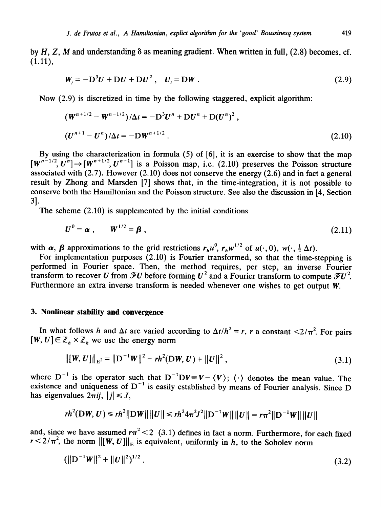by  $H, Z, M$  and understanding  $\delta$  as meaning gradient. When written in full, (2.8) becomes, cf.  $(1.11),$ 

$$
\mathbf{W}_t = -\mathbf{D}^3 \mathbf{U} + \mathbf{D} \mathbf{U} + \mathbf{D} \mathbf{U}^2 \,, \quad \mathbf{U}_t = \mathbf{D} \mathbf{W} \,. \tag{2.9}
$$

Now (2.9) is discretized in time by the following staggered, explicit algorithm:

$$
\left(W^{n+1/2} - W^{n-1/2}\right)/\Delta t = -D^3 U^n + D U^n + D (U^n)^2,
$$
\n
$$
\left(U^{n+1} - U^n\right)/\Delta t = -D W^{n+1/2}.
$$
\n(2.10)

By using the characterization in formula (5) of [6], it is an exercise to show that the map  $[w^{n-1/2}, U^{n}] \rightarrow [W^{n+1/2}, U^{n+1}]$  is a Poisson map, i.e. (2.10) preserves the Poisson structure associated with  $(2.7)$ . However  $(2.10)$  does not conserve the energy  $(2.6)$  and in fact a general result by Zhong and Marsden [7] shows that, in the time-integration, it is not possible to conserve both the Hamiltonian and the Poisson structure. See also the discussion in [4, Section 31.

The scheme (2.10) is supplemented by the initial conditions

$$
U^0 = \alpha \;, \qquad W^{1/2} = \beta \;, \tag{2.11}
$$

with  $\alpha$ ,  $\beta$  approximations to the grid restrictions  $r_h u^0$ ,  $r_h w^{1/2}$  of  $u(\cdot, 0)$ ,  $w(\cdot, \frac{1}{2} \Delta t)$ .

For implementation purposes  $(2.10)$  is Fourier transformed, so that the time-stepping is performed in Fourier space. Then, the method requires, per step, an inverse Fourier transform to recover *U* from  $\mathscr{F}U$  before forming  $U^2$  and a Fourier transform to compute  $\mathscr{F}U^2$ . Furthermore an extra inverse transform is needed whenever one wishes to get output *W.* 

### 3. **Nonlinear stability and convergence**

In what follows *h* and  $\Delta t$  are varied according to  $\Delta t/h^2 = r$ , *r* a constant <2/ $\pi^2$ . For pairs  $[W, U] \in \mathbb{Z}_h \times \mathbb{Z}_h$  we use the energy norm

$$
\| [W, U] \|_{E^2} = \| D^{-1} W \|^2 - rh^2(DW, U) + \| U \|^2,
$$
\n(3.1)

where  $D^{-1}$  is the operator such that  $D^{-1}DV = V - \langle V \rangle$ ;  $\langle \cdot \rangle$  denotes the mean value. The existence and uniqueness of  $D^{-1}$  is easily established by means of Fourier analysis. Since D has eigenvalues  $2\pi i j$ ,  $|j| \leq J$ ,

$$
r h^{2}(\mathbf{D} \mathbf{W}, \mathbf{U}) \leq r h^{2} \|\mathbf{D} \mathbf{W}\| \|\mathbf{U}\| \leq r h^{2} 4 \pi^{2} J^{2} \|\mathbf{D}^{-1} \mathbf{W}\| \|\mathbf{U}\| = r \pi^{2} \|\mathbf{D}^{-1} \mathbf{W}\| \|\mathbf{U}\|
$$

and, since we have assumed  $r\pi^2 < 2$  (3.1) defines in fact a norm. Furthermore, for each fixed  $r < 2/\pi^2$ , the norm  $\Vert [\boldsymbol{W}, \boldsymbol{U}] \Vert_E$  is equivalent, uniformly in *h*, to the Sobolev norm

$$
(\|\mathbf{D}^{-1}\mathbf{W}\|^2 + \|\mathbf{U}\|^2)^{1/2} \,. \tag{3.2}
$$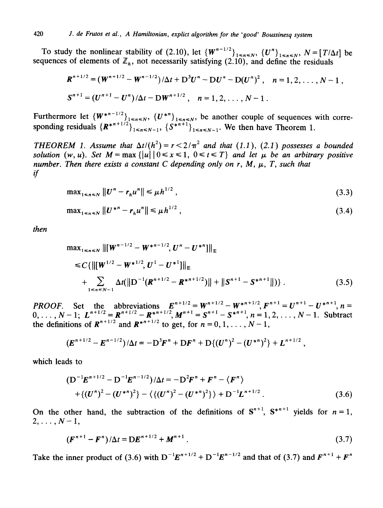To study the nonlinear stability of (2.10), let  $\{W^{n-1/2}\}_{1\leq n\leq N}$ ,  $\{U^n\}_{1\leq n\leq N}$ ,  $N = [T/\Delta t]$  be sequences of elements of  $\mathbb{Z}_h$ , not necessarily satisfying (2.10), and define the residuals

$$
R^{n+1/2} = (W^{n+1/2} - W^{n-1/2})/\Delta t + D^3 U^n - DU^n - D(U^n)^2, \quad n = 1, 2, ..., N-1,
$$
  

$$
S^{n+1} = (U^{n+1} - U^n)/\Delta t - DW^{n+1/2}, \quad n = 1, 2, ..., N-1.
$$

Furthermore let  ${W^{*}}^{n-1/2}_{1\le n\le N}$ ,  ${U^{*}}^{n}$ <sub>1 $\le n\le N$ </sub>, be another couple of sequences with corresponding residuals  $\{R^{n+1/2}\}_{1\leq n\leq N-1}$ ,  $\{S^{n+1}\}_{1\leq n\leq N-1}$ . We then have Theorem 1.

*THEOREM 1. Assume that*  $\Delta t/(h^2) = r \leq 2/\pi^2$  and that (1.1), (2.1) possesses a bounded *solution*  $(w, u)$ . Set  $M = \max\{|u||0 \le x \le 1, 0 \le t \le T\}$  and let  $\mu$  be an arbitrary positive *number. Then there exists a constant C depending only on r, M,*  $\mu$ *, T, such that if* 

$$
\max_{1 \le n \le N} \| U^n - r_h u^n \| \le \mu h^{1/2} \,, \tag{3.3}
$$

$$
\max_{1 \le n \le N} \| U^{*n} - r_h u^n \| \le \mu h^{1/2} \,, \tag{3.4}
$$

*then* 

$$
\max_{1 \le n \le N} ||[W^{n-1/2} - W^{*n-1/2}, U^n - U^{*n}]||_E
$$
  
\n
$$
\le C \{ ||[W^{1/2} - W^{*1/2}, U^1 - U^{*1}]]|_E
$$
  
\n
$$
+ \sum_{1 \le n \le N-1} \Delta t (||D^{-1}(R^{n+1/2} - R^{*n+1/2})|| + ||S^{n+1} - S^{*n+1}||) \}.
$$
\n(3.5)

**PROOF.** Set the abbreviations  $E^{n+1/2} = W^{n+1/2} - W^{n+1/2}F^{n+1} = U^{n+1} - U^{n+1}F^{n+1}$ ,  $n =$  $0, \ldots, N-1; L^{n+1/2} = R^{n+1/2} - R^{*n+1/2}, M^{n+1} = S^{n+1} - S^{*n+1}, n = 1, 2, \ldots, N-1.$  Subtra the definitions of  $\mathbf{R}^{n+1/2}$  and  $\mathbf{R}^{n+1/2}$  to get, for  $n = 0, 1, \ldots, N-1$ ,

$$
(\boldsymbol{E}^{n+1/2}-\boldsymbol{E}^{n-1/2})/\Delta t=-\mathbf{D}^3\boldsymbol{F}^n+\mathbf{D}\boldsymbol{F}^n+\mathbf{D}\{(\boldsymbol{U}^n)^2-(\boldsymbol{U}^{*n})^2\}+\boldsymbol{L}^{n+1/2}.
$$

which leads to

$$
(D^{-1}E^{n+1/2} - D^{-1}E^{n-1/2})/\Delta t = -D^2F^n + F^n - \langle F^n \rangle
$$
  
+ 
$$
\langle (U^n)^2 - (U^{*n})^2 \rangle - \langle \langle (U^n)^2 - (U^{*n})^2 \rangle \rangle + D^{-1}L^{n+1/2}.
$$
 (3.6)

On the other hand, the subtraction of the definitions of  $S^{n+1}$ ,  $S^{n+1}$  yields for  $n = 1$ ,  $2, \ldots, N-1,$ 

$$
(\boldsymbol{F}^{n+1} - \boldsymbol{F}^n)/\Delta t = \mathbf{D}\boldsymbol{E}^{n+1/2} + \boldsymbol{M}^{n+1} \,. \tag{3.7}
$$

Take the inner product of (3.6) with  $D^{-1}E^{n+1/2} + D^{-1}E^{n-1/2}$  and that of (3.7) and  $F^{n+1} + F^n$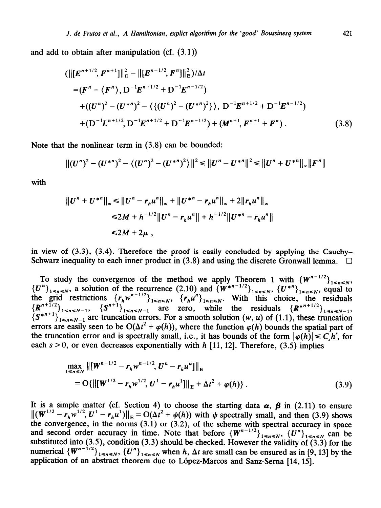and add to obtain after manipulation (cf. (3.1))

$$
(\| [E^{n+1/2}, F^{n+1}] \|_{E}^{2} - \| [E^{n-1/2}, F^{n}] \|_{E}^{2})/\Delta t
$$
  
\n
$$
= (F^{n} - \langle F^{n} \rangle, D^{-1} E^{n+1/2} + D^{-1} E^{n-1/2})
$$
  
\n
$$
+ ((U^{n})^{2} - (U^{*n})^{2} - \langle \{ (U^{n})^{2} - (U^{*n})^{2} \rangle \rangle, D^{-1} E^{n+1/2} + D^{-1} E^{n-1/2})
$$
  
\n
$$
+ (D^{-1} L^{n+1/2}, D^{-1} E^{n+1/2} + D^{-1} E^{n-1/2}) + (M^{n+1}, F^{n+1} + F^{n}).
$$
\n(3.8)

Note that the nonlinear term in (3.8) can be bounded:

$$
||(U^{n})^{2} - (U^{*n})^{2} - \langle (U^{n})^{2} - (U^{*n})^{2} \rangle||^{2} \leq ||U^{n} - U^{*n}||^{2} \leq ||U^{n} + U^{*n}||_{\infty}||F^{n}||
$$

with

$$
||U^{n} + U^{*n}||_{\infty} \le ||U^{n} - r_{h}u^{n}||_{\infty} + ||U^{*n} - r_{h}u^{n}||_{\infty} + 2||r_{h}u^{n}||_{\infty}
$$
  
\n
$$
\le 2M + h^{-1/2}||U^{n} - r_{h}u^{n}|| + h^{-1/2}||U^{*n} - r_{h}u^{n}||
$$
  
\n
$$
\le 2M + 2\mu,
$$

in view of  $(3.3)$ ,  $(3.4)$ . Therefore the proof is easily concluded by applying the Cauchy-Schwarz inequality to each inner product in (3.8) and using the discrete Gronwall lemma.  $\Box$ 

To study the convergence of the method we apply Theorem 1 with  ${W^{n-1/2}}_{1\leq n\leq N}$  ${U^n}_{1 \le n \le N}$ , a solution of the recurrence (2.10) and  ${W^{*}}^{n-1/2}_{1 \le n \le N}$ ,  ${U^{*}}^n_{1 \le n \le N}$ , equal to the grid restrictions  $\{r_{h}w^{n-1/2}\}_{1\leq n\leq N}$ ,  $\{r_{h}u^{n}\}_{1\leq n\leq N}$ . With this choice, the residuals  ${R^{n+1/2}}_{1 \le n \le N-1}$ ,  ${S^{n+1}}_{1 \le n \le N-1}$  are zero, while the residuals  ${R^{n+1/2}}_{1 \le n \le N-1}$  $\{S^{*n+1}\}_{1 \leq n \leq N-1}$  are truncation errors. For a smooth solution  $(w, u)$  of (1.1), these truncation errors are easily seen to be  $O(\Delta t^2 + \varphi(h))$ , where the function  $\varphi(h)$  bounds the spatial part of the truncation error and is spectrally small, i.e., it has bounds of the form  $|\varphi(h)| \leq C_s h^s$ , for each  $s > 0$ , or even decreases exponentially with *h* [11, 12]. Therefore, (3.5) implies

$$
\max_{1 \le n \le N} \left\| \left[ \boldsymbol{W}^{n-1/2} - \boldsymbol{r}_h \boldsymbol{w}^{n-1/2}, \boldsymbol{U}^n - \boldsymbol{r}_h \boldsymbol{u}^n \right] \right\|_{\text{E}}
$$
\n
$$
= O\{ \left\| \left[ \boldsymbol{W}^{1/2} - \boldsymbol{r}_h \boldsymbol{w}^{1/2}, \boldsymbol{U}^1 - \boldsymbol{r}_h \boldsymbol{u}^1 \right] \right\|_{\text{E}} + \Delta t^2 + \varphi(h) \} . \tag{3.9}
$$

It is a simple matter (cf. Section 4) to choose the starting data  $\alpha$ ,  $\beta$  in (2.11) to ensure  $\|(W^{1/2}-r_hw^{1/2},U^2-r_hu^2)\|_E = O(\Delta t^2+\psi(h))$  with  $\psi$  spectrally small, and then (3.9) shows the convergence, in the norms (3.1) or (3.2), of the scheme with spectral accuracy in space and second order accuracy in time. Note that before  ${W^{n-1/2}}_{1 \le n \le N}$ ,  ${U^n}_{1 \le n \le N}$  can be substituted into (3.5), condition (3.3) should be checked. However the validity of  $(3.3)$  for the numerical  ${W^{n-1/2}}_{1 \le n \le N}$ ,  ${U^n}_{1 \le n \le N}$  when *h*,  $\Delta t$  are small can be ensured as in [9, 13] by the application of an abstract theorem due to Lopez-Marcos and Sanz-Sema [14,15].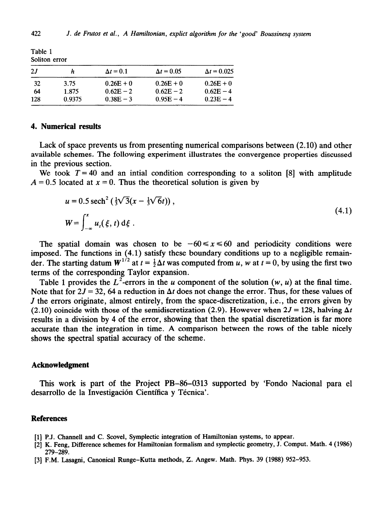| SOIRON CITOR |        |                  |                   |                    |
|--------------|--------|------------------|-------------------|--------------------|
| 2J           |        | $\Delta t = 0.1$ | $\Delta t = 0.05$ | $\Delta t = 0.025$ |
| -32          | 3.75   | $0.26E + 0$      | $0.26E + 0$       | $0.26E + 0$        |
| 64           | 1.875  | $0.62E - 2$      | $0.62E - 2$       | $0.62E - 4$        |
| 128          | 0.9375 | $0.38E - 3$      | $0.95E - 4$       | $0.23E - 4$        |

# **Table 1 Soliton error**

# **4. Numerical results**

Lack of space prevents us from presenting numerical comparisons between (2.10) and other available schemes. The following experiment illustrates the convergence properties discussed in the previous section.

We took  $T = 40$  and an intial condition corresponding to a soliton [8] with amplitude  $A = 0.5$  located at  $x = 0$ . Thus the theoretical solution is given by

$$
u = 0.5 \text{ sech}^{2} \left( \frac{1}{3} \sqrt{3} (x - \frac{1}{3} \sqrt{6} t) \right),
$$
  
\n
$$
W = \int_{-\infty}^{x} u_{i}(\xi, t) d\xi.
$$
\n(4.1)

The spatial domain was chosen to be  $-60 \le x \le 60$  and periodicity conditions were imposed. The functions in (4.1) satisfy these boundary conditions up to a negligible remainder. The starting datum  $W^{1/2}$  at  $t = \frac{1}{2}\Delta t$  was computed from u, w at  $t = 0$ , by using the first two terms of the corresponding Taylor expansion.

Table 1 provides the  $L^2$ -errors in the u component of the solution  $(w, u)$  at the final time. Note that for  $2J = 32$ , 64 a reduction in  $\Delta t$  does not change the error. Thus, for these values of *J* the errors originate, almost entirely, from the space-discretization, i.e., the errors given by (2.10) coincide with those of the semidiscretization (2.9). However when  $2J = 128$ , halving  $\Delta t$ results in a division by 4 of the error, showing that then the spatial discretization is far more accurate than the integration in time. A comparison between the rows of the table nicely shows the spectral spatial accuracy of the scheme.

#### $Acknowledgment$

This work is part of the Project PB–86–0313 supported by 'Fondo Nacional para el desarrollo de la Investigación Científica y Técnica'.

# **References**

- **[l] P.J. Channel1 and C. Scovel, Symplectic integration of Hamiltonian systems, to appear.**
- **[2] K. Feng, Difference schemes for Hamiltonian formalism and symplectic geometry, J. Comput. Math. 4 (1986) 279~2g9.**
- **[3] F.M. Lasagni, Canonical Runge-Kutta methods, 2. Angew. Math. Phys. 39 (1988) 952-953.**